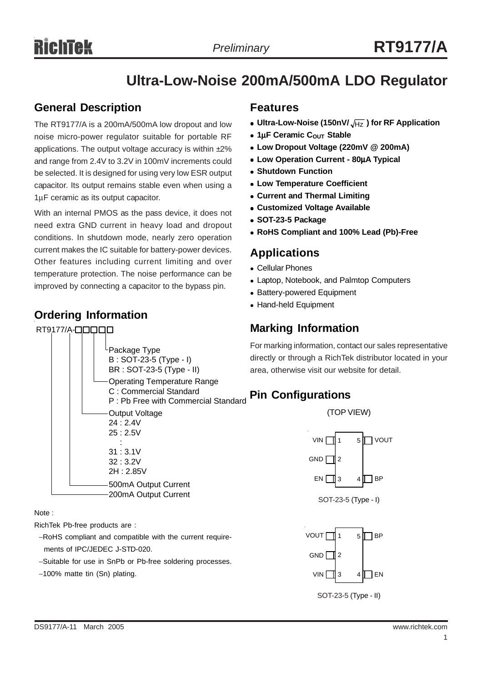# **Ultra-Low-Noise 200mA/500mA LDO Regulator**

### **General Description**

The RT9177/A is a 200mA/500mA low dropout and low noise micro-power regulator suitable for portable RF applications. The output voltage accuracy is within  $\pm 2\%$ and range from 2.4V to 3.2V in 100mV increments could be selected. It is designed for using very low ESR output capacitor. Its output remains stable even when using a 1μF ceramic as its output capacitor.

With an internal PMOS as the pass device, it does not need extra GND current in heavy load and dropout conditions. In shutdown mode, nearly zero operation current makes the IC suitable for battery-power devices. Other features including current limiting and over temperature protection. The noise performance can be improved by connecting a capacitor to the bypass pin.

### **Ordering Information**

### RT9177/A-**QOOOO** Package Type B : SOT-23-5 (Type - I) BR : SOT-23-5 (Type - II) Operating Temperature Range C : Commercial Standard P : Pb Free with Commercial Standard Output Voltage 24 : 2.4V 25 : 2.5V : 31 : 3.1V 32 : 3.2V 2H : 2.85V 500mA Output Current 200mA Output Current

Note :

RichTek Pb-free products are :

- −RoHS compliant and compatible with the current require ments of IPC/JEDEC J-STD-020.
- −Suitable for use in SnPb or Pb-free soldering processes.
- −100% matte tin (Sn) plating.

### **Features**

- Ultra-Low-Noise (150nV/ $\sqrt{HZ}$ ) for RF Application
- $\bullet$  **1μF Ceramic C<sub>OUT</sub> Stable**
- <sup>z</sup> **Low Dropout Voltage (220mV @ 200mA)**
- <sup>z</sup> **Low Operation Current 80**μ**A Typical**
- **Shutdown Function**
- **Low Temperature Coefficient**
- **Current and Thermal Limiting**
- **Customized Voltage Available**
- <sup>z</sup> **SOT-23-5 Package**
- <sup>z</sup> **RoHS Compliant and 100% Lead (Pb)-Free**

### **Applications**

- Cellular Phones
- Laptop, Notebook, and Palmtop Computers
- Battery-powered Equipment
- Hand-held Equipment

## **Marking Information**

For marking information, contact our sales representative directly or through a RichTek distributor located in your area, otherwise visit our website for detail.

### **Pin Configurations**

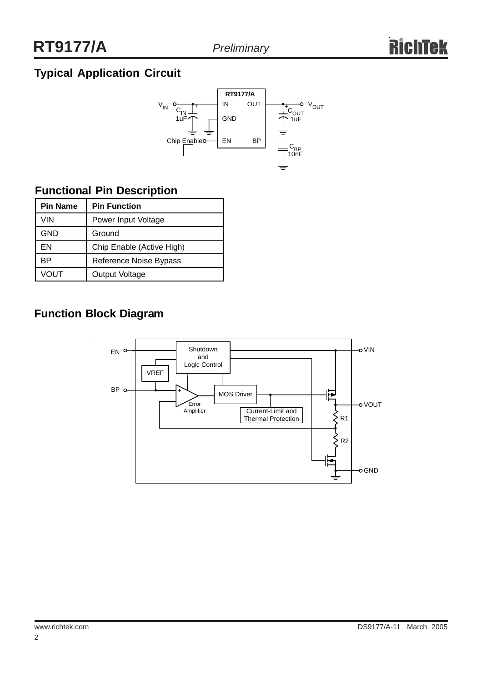# **Typical Application Circuit**



# **Functional Pin Description**

| <b>Pin Name</b> | <b>Pin Function</b>       |  |  |  |
|-----------------|---------------------------|--|--|--|
| VIN             | Power Input Voltage       |  |  |  |
| GND             | Ground                    |  |  |  |
| FN              | Chip Enable (Active High) |  |  |  |
| ВP              | Reference Noise Bypass    |  |  |  |
| VOUT            | Output Voltage            |  |  |  |

# **Function Block Diagram**

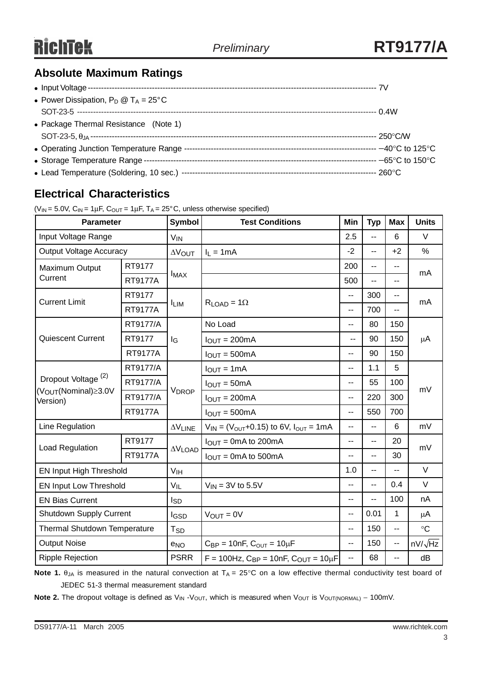# **Absolute Maximum Ratings**

| • Power Dissipation, $P_D @ T_A = 25^{\circ}C$ |  |
|------------------------------------------------|--|
|                                                |  |
| • Package Thermal Resistance (Note 1)          |  |
|                                                |  |
|                                                |  |
|                                                |  |
|                                                |  |

# **Electrical Characteristics**

|  | ( $V_{IN}$ = 5.0V, $C_{IN}$ = 1 $\mu$ F, $C_{OUT}$ = 1 $\mu$ F, T <sub>A</sub> = 25°C, unless otherwise specified) |  |  |
|--|--------------------------------------------------------------------------------------------------------------------|--|--|
|  |                                                                                                                    |  |  |

| <b>Parameter</b>                                                               |                | <b>Symbol</b>          | <b>Test Conditions</b>                                        |                          | <b>Typ</b>               | <b>Max</b>     | <b>Units</b>   |  |
|--------------------------------------------------------------------------------|----------------|------------------------|---------------------------------------------------------------|--------------------------|--------------------------|----------------|----------------|--|
| Input Voltage Range                                                            |                | <b>V<sub>IN</sub></b>  |                                                               |                          | Ш,                       | 6              | $\vee$         |  |
| <b>Output Voltage Accuracy</b>                                                 |                | $\Delta V$ OUT         | $I_L = 1mA$                                                   |                          | $\overline{a}$           | $+2$           | $\%$           |  |
| Maximum Output                                                                 | RT9177         |                        |                                                               | 200                      | --                       | $\overline{a}$ | mA             |  |
| Current                                                                        | <b>RT9177A</b> | <b>IMAX</b>            |                                                               | 500                      | --                       | $-$            |                |  |
| <b>Current Limit</b>                                                           | RT9177         |                        | $R_{LOAD} = 1\Omega$                                          | $\overline{\phantom{a}}$ | 300                      | $\overline{a}$ | mA             |  |
|                                                                                | <b>RT9177A</b> | <b>ILIM</b>            |                                                               | --                       | 700                      | $\overline{a}$ |                |  |
|                                                                                | RT9177/A       |                        | No Load                                                       | --                       | 80                       | 150            |                |  |
| <b>Quiescent Current</b>                                                       | RT9177         | l <sub>G</sub>         | $IOUT = 200mA$                                                | $\overline{a}$           | 90                       | 150            | $\mu$ A        |  |
|                                                                                | <b>RT9177A</b> |                        | $IOUT = 500mA$                                                | -−                       | 90                       | 150            |                |  |
|                                                                                | RT9177/A       | <b>VDROP</b>           | $I_{OUT} = 1mA$                                               | $\overline{\phantom{a}}$ | 1.1                      | 5              |                |  |
| Dropout Voltage <sup>(2)</sup><br>(V <sub>OUT</sub> (Nominal)≥3.0V<br>Version) | RT9177/A       |                        | $I_{OUT} = 50mA$                                              | --                       | 55                       | 100            | mV             |  |
|                                                                                | RT9177/A       |                        | $I_{OUT} = 200mA$                                             | $\overline{\phantom{a}}$ | 220                      | 300            |                |  |
|                                                                                | <b>RT9177A</b> |                        | $IOUT = 500mA$                                                | $\overline{a}$           | 550                      | 700            |                |  |
| Line Regulation                                                                |                | $\Delta \rm{V}$ LINE   | $V_{IN} = (V_{OUT} + 0.15)$ to 6V, $I_{OUT} = 1mA$            | --                       | --                       | 6              | mV             |  |
| <b>Load Regulation</b>                                                         | RT9177         | $\Delta V$ LOAD        | $IOUT = 0mA$ to 200mA                                         | $\overline{\phantom{a}}$ | $-$                      | 20             | mV             |  |
|                                                                                | <b>RT9177A</b> |                        | $I_{OUT} = 0mA$ to 500mA                                      | --                       | $\overline{\phantom{a}}$ | 30             |                |  |
| EN Input High Threshold                                                        |                | V <sub>IH</sub>        |                                                               | 1.0                      | --                       | $\overline{a}$ | V              |  |
| EN Input Low Threshold                                                         |                | $V_{IL}$               | $V_{\text{IN}}$ = 3V to 5.5V                                  | $\overline{a}$           | $\overline{\phantom{a}}$ | 0.4            | V              |  |
| <b>EN Bias Current</b>                                                         |                | <b>I</b> <sub>SD</sub> |                                                               | $\overline{a}$           | -−                       | 100            | nA             |  |
| <b>Shutdown Supply Current</b>                                                 |                | IGSD                   | $V_{OUT} = 0V$                                                | --                       | 0.01                     | 1              | $\mu$ A        |  |
| Thermal Shutdown Temperature                                                   |                | <b>T<sub>SD</sub></b>  |                                                               |                          | 150                      | --             | $\circ$ C      |  |
| <b>Output Noise</b>                                                            |                | e <sub>NO</sub>        | $C_{BP} = 10nF$ , $C_{OUT} = 10\mu F$                         |                          | 150                      | --             | $nV/\sqrt{Hz}$ |  |
| <b>Ripple Rejection</b>                                                        |                | <b>PSRR</b>            | $F = 100$ Hz, C <sub>BP</sub> = 10nF, C <sub>OUT</sub> = 10µF | $\overline{a}$           | 68                       | $\overline{a}$ | dB             |  |

**Note 1.**  $\theta_{JA}$  is measured in the natural convection at  $T_A = 25^\circ \text{C}$  on a low effective thermal conductivity test board of JEDEC 51-3 thermal measurement standard

Note 2. The dropout voltage is defined as V<sub>IN</sub> -V<sub>OUT</sub>, which is measured when V<sub>OUT</sub> is V<sub>OUT(NORMAL)</sub> – 100mV.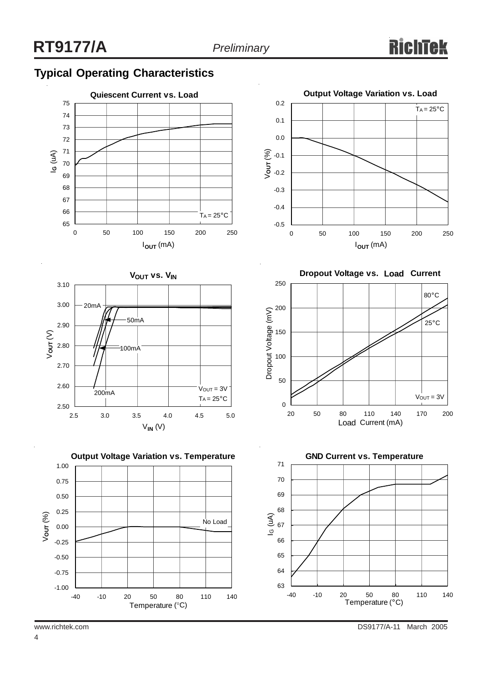# **Typical Operating Characteristics**













www.richtek.com DS9177/A-11 March 2005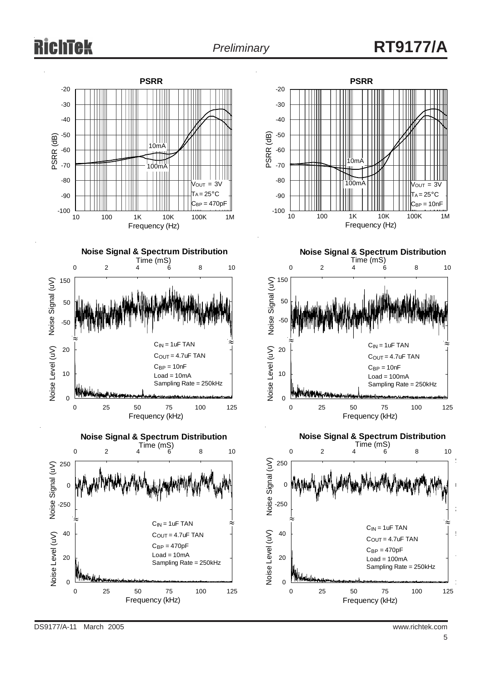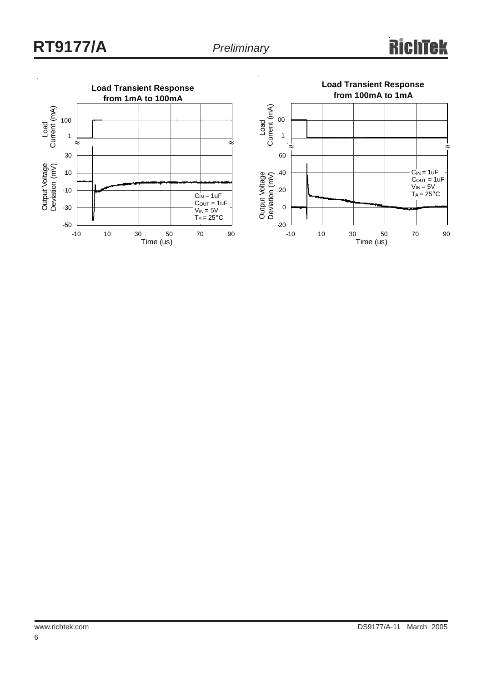### **Rich Tek**

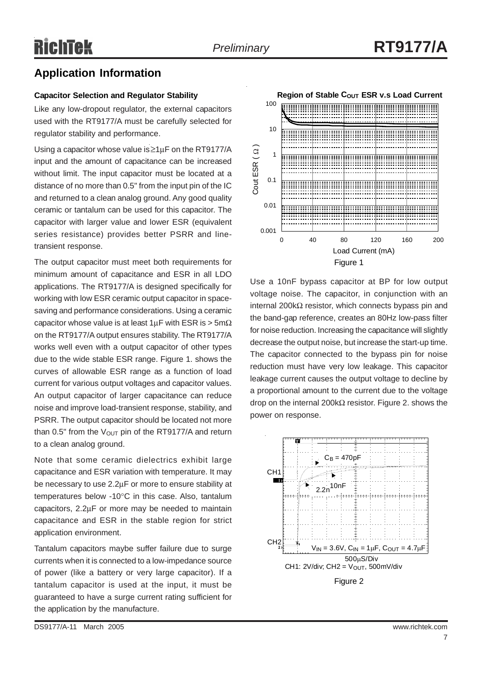### **Application Information**

#### **Capacitor Selection and Regulator Stability**

Like any low-dropout regulator, the external capacitors used with the RT9177/A must be carefully selected for regulator stability and performance.

Using a capacitor whose value is $\geq 1 \mu F$  on the RT9177/A input and the amount of capacitance can be increased without limit. The input capacitor must be located at a distance of no more than 0.5" from the input pin of the IC and returned to a clean analog ground. Any good quality ceramic or tantalum can be used for this capacitor. The capacitor with larger value and lower ESR (equivalent series resistance) provides better PSRR and linetransient response.

The output capacitor must meet both requirements for minimum amount of capacitance and ESR in all LDO applications. The RT9177/A is designed specifically for working with low ESR ceramic output capacitor in spacesaving and performance considerations. Using a ceramic capacitor whose value is at least  $1 \mu$ F with ESR is > 5m $\Omega$ on the RT9177/A output ensures stability. The RT9177/A works well even with a output capacitor of other types due to the wide stable ESR range. Figure 1. shows the curves of allowable ESR range as a function of load current for various output voltages and capacitor values. An output capacitor of larger capacitance can reduce noise and improve load-transient response, stability, and PSRR. The output capacitor should be located not more than 0.5" from the  $V_{\text{OUT}}$  pin of the RT9177/A and return to a clean analog ground.

Note that some ceramic dielectrics exhibit large capacitance and ESR variation with temperature. It may be necessary to use 2.2μF or more to ensure stability at temperatures below -10°C in this case. Also, tantalum capacitors, 2.2μF or more may be needed to maintain capacitance and ESR in the stable region for strict application environment.

Tantalum capacitors maybe suffer failure due to surge currents when it is connected to a low-impedance source of power (like a battery or very large capacitor). If a tantalum capacitor is used at the input, it must be guaranteed to have a surge current rating sufficient for the application by the manufacture.



Use a 10nF bypass capacitor at BP for low output voltage noise. The capacitor, in conjunction with an internal 200kΩ resistor, which connects bypass pin and the band-gap reference, creates an 80Hz low-pass filter for noise reduction. Increasing the capacitance will slightly decrease the output noise, but increase the start-up time. The capacitor connected to the bypass pin for noise reduction must have very low leakage. This capacitor leakage current causes the output voltage to decline by a proportional amount to the current due to the voltage drop on the internal 200kΩ resistor. Figure 2. shows the power on response.

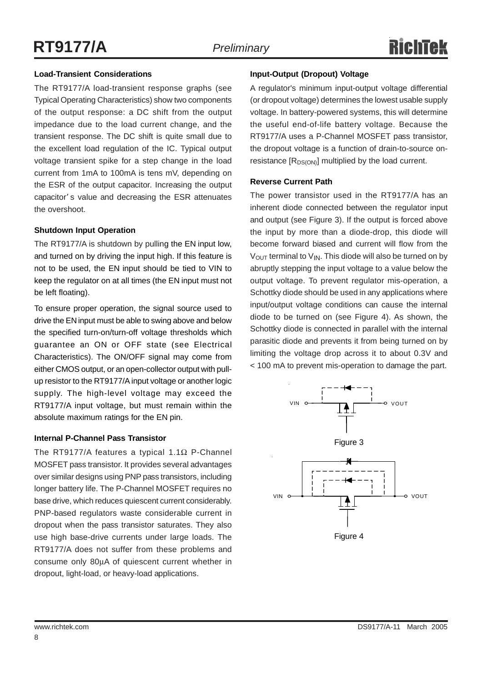#### **Load-Transient Considerations**

The RT9177/A load-transient response graphs (see Typical Operating Characteristics) show two components of the output response: a DC shift from the output impedance due to the load current change, and the transient response. The DC shift is quite small due to the excellent load regulation of the IC. Typical output voltage transient spike for a step change in the load current from 1mA to 100mA is tens mV, depending on the ESR of the output capacitor. Increasing the output capacitor' s value and decreasing the ESR attenuates the overshoot.

#### **Shutdown Input Operation**

The RT9177/A is shutdown by pulling the EN input low, and turned on by driving the input high. If this feature is not to be used, the EN input should be tied to VIN to keep the regulator on at all times (the EN input must not be left floating).

To ensure proper operation, the signal source used to drive the EN input must be able to swing above and below the specified turn-on/turn-off voltage thresholds which guarantee an ON or OFF state (see Electrical Characteristics). The ON/OFF signal may come from either CMOS output, or an open-collector output with pullup resistor to the RT9177/A input voltage or another logic supply. The high-level voltage may exceed the RT9177/A input voltage, but must remain within the absolute maximum ratings for the EN pin.

### **Internal P-Channel Pass Transistor**

The RT9177/A features a typical 1.1Ω P-Channel MOSFET pass transistor. It provides several advantages over similar designs using PNP pass transistors, including longer battery life. The P-Channel MOSFET requires no base drive, which reduces quiescent current considerably. PNP-based regulators waste considerable current in dropout when the pass transistor saturates. They also use high base-drive currents under large loads. The RT9177/A does not suffer from these problems and consume only 80μA of quiescent current whether in dropout, light-load, or heavy-load applications.

### **Input-Output (Dropout) Voltage**

A regulator's minimum input-output voltage differential (or dropout voltage) determines the lowest usable supply voltage. In battery-powered systems, this will determine the useful end-of-life battery voltage. Because the RT9177/A uses a P-Channel MOSFET pass transistor, the dropout voltage is a function of drain-to-source onresistance  $[R_{DS(ON)}]$  multiplied by the load current.

#### **Reverse Current Path**

The power transistor used in the RT9177/A has an inherent diode connected between the regulator input and output (see Figure 3). If the output is forced above the input by more than a diode-drop, this diode will become forward biased and current will flow from the  $V_{\text{OUT}}$  terminal to  $V_{\text{IN}}$ . This diode will also be turned on by abruptly stepping the input voltage to a value below the output voltage. To prevent regulator mis-operation, a Schottky diode should be used in any applications where input/output voltage conditions can cause the internal diode to be turned on (see Figure 4). As shown, the Schottky diode is connected in parallel with the internal parasitic diode and prevents it from being turned on by limiting the voltage drop across it to about 0.3V and < 100 mA to prevent mis-operation to damage the part.

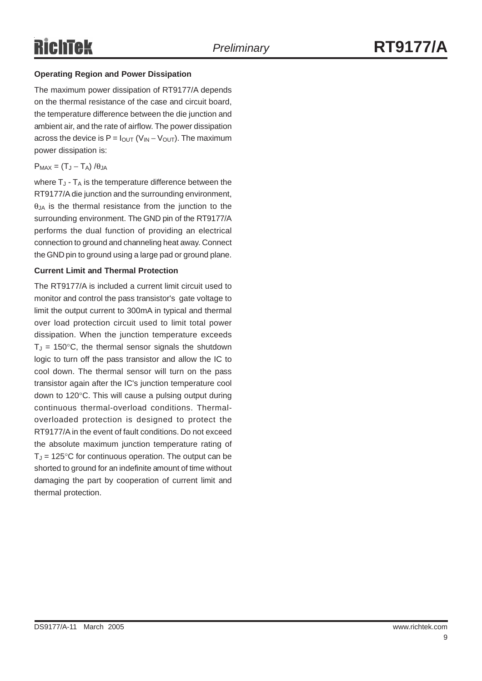### **Operating Region and Power Dissipation**

The maximum power dissipation of RT9177/A depends on the thermal resistance of the case and circuit board, the temperature difference between the die junction and ambient air, and the rate of airflow. The power dissipation across the device is  $P = I_{\text{OUT}} (V_{\text{IN}} - V_{\text{OUT}})$ . The maximum power dissipation is:

#### $P_{MAX} = (T_{J} - T_{A}) / \theta_{JA}$

where  $T_{J}$  -  $T_{A}$  is the temperature difference between the RT9177/A die junction and the surrounding environment,  $\theta$ <sub>JA</sub> is the thermal resistance from the junction to the surrounding environment. The GND pin of the RT9177/A performs the dual function of providing an electrical connection to ground and channeling heat away. Connect the GND pin to ground using a large pad or ground plane.

#### **Current Limit and Thermal Protection**

The RT9177/A is included a current limit circuit used to monitor and control the pass transistor's gate voltage to limit the output current to 300mA in typical and thermal over load protection circuit used to limit total power dissipation. When the junction temperature exceeds  $T_J = 150^{\circ}$ C, the thermal sensor signals the shutdown logic to turn off the pass transistor and allow the IC to cool down. The thermal sensor will turn on the pass transistor again after the IC's junction temperature cool down to 120°C. This will cause a pulsing output during continuous thermal-overload conditions. Thermaloverloaded protection is designed to protect the RT9177/A in the event of fault conditions. Do not exceed the absolute maximum junction temperature rating of  $T_J$  = 125°C for continuous operation. The output can be shorted to ground for an indefinite amount of time without damaging the part by cooperation of current limit and thermal protection.